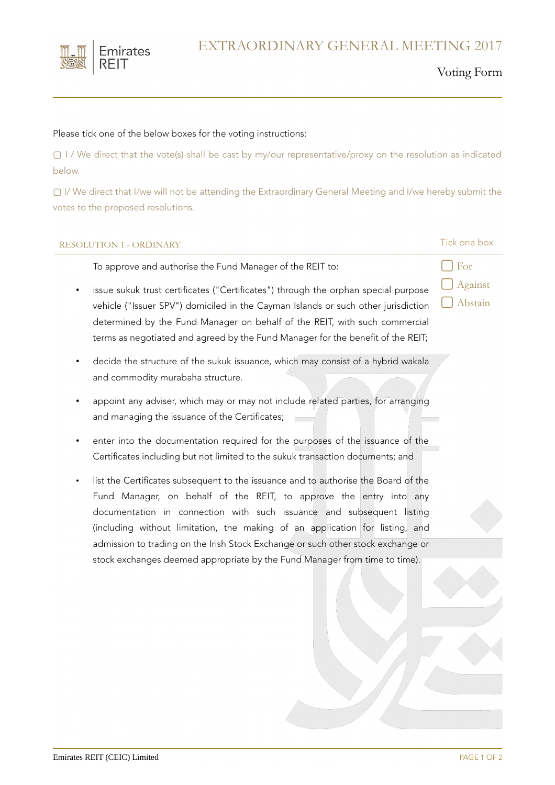

#### Voting Form

#### Please tick one of the below boxes for the voting instructions:

▢ I / We direct that the vote(s) shall be cast by my/our representative/proxy on the resolution as indicated below.

▢ I/ We direct that I/we will not be attending the Extraordinary General Meeting and I/we hereby submit the votes to the proposed resolutions.

### RESOLUTION 1 - ORDINARY Tick one box

To approve and authorise the Fund Manager of the REIT to:

- - **▢** For **▢** Against

**▢** Abstain

- issue sukuk trust certificates ("Certificates") through the orphan special purpose vehicle ("Issuer SPV") domiciled in the Cayman Islands or such other jurisdiction determined by the Fund Manager on behalf of the REIT, with such commercial terms as negotiated and agreed by the Fund Manager for the benefit of the REIT;
- decide the structure of the sukuk issuance, which may consist of a hybrid wakala and commodity murabaha structure.
- appoint any adviser, which may or may not include related parties, for arranging and managing the issuance of the Certificates;
- enter into the documentation required for the purposes of the issuance of the Certificates including but not limited to the sukuk transaction documents; and
- list the Certificates subsequent to the issuance and to authorise the Board of the Fund Manager, on behalf of the REIT, to approve the entry into any documentation in connection with such issuance and subsequent listing (including without limitation, the making of an application for listing, and admission to trading on the Irish Stock Exchange or such other stock exchange or stock exchanges deemed appropriate by the Fund Manager from time to time).